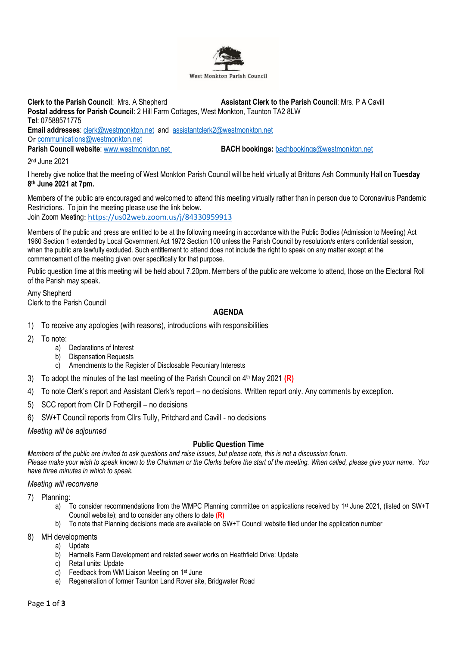

**Clerk to the Parish Council**: Mrs. A Shepherd **Assistant Clerk to the Parish Council**: Mrs. P A Cavill **Postal address for Parish Council**: 2 Hill Farm Cottages, West Monkton, Taunton TA2 8LW **Tel**: 07588571775 **Email addresses**: [clerk@westmonkton.net](mailto:clerk@westmonkton.net) and [assistantclerk2@westmonkton.net](mailto:assistantclerk2@westmonkton.net) Or [communications@westmonkton.net](mailto:communications@westmonkton.net) **Parish Council website:** [www.westmonkton.net](http://www.westmonkton.net/) **BACH bookings:** [bachbookings@westmonkton.net](mailto:bachbookings@westmonkton.net)

2 nd June 2021

I hereby give notice that the meeting of West Monkton Parish Council will be held virtually at Brittons Ash Community Hall on **Tuesday 8 th June 2021 at 7pm.**

Members of the public are encouraged and welcomed to attend this meeting virtually rather than in person due to Coronavirus Pandemic Restrictions. To join the meeting please use the link below. Join Zoom Meeting: <https://us02web.zoom.us/j/84330959913>

Members of the public and press are entitled to be at the following meeting in accordance with the Public Bodies (Admission to Meeting) Act 1960 Section 1 extended by Local Government Act 1972 Section 100 unless the Parish Council by resolution/s enters confidential session, when the public are lawfully excluded. Such entitlement to attend does not include the right to speak on any matter except at the commencement of the meeting given over specifically for that purpose.

Public question time at this meeting will be held about 7.20pm. Members of the public are welcome to attend, those on the Electoral Roll of the Parish may speak.

Amy Shepherd Clerk to the Parish Council

## **AGENDA**

- 1) To receive any apologies (with reasons), introductions with responsibilities
- 2) To note:
	- a) Declarations of Interest
	- b) Dispensation Requests
	- c) Amendments to the Register of Disclosable Pecuniary Interests
- 3) To adopt the minutes of the last meeting of the Parish Council on 4 th May 2021 **(R)**
- 4) To note Clerk's report and Assistant Clerk's report no decisions. Written report only. Any comments by exception.
- 5) SCC report from Cllr D Fothergill no decisions
- 6) SW+T Council reports from Cllrs Tully, Pritchard and Cavill no decisions

*Meeting will be adjourned*

## **Public Question Time**

*Members of the public are invited to ask questions and raise issues, but please note, this is not a discussion forum.*

*Please make your wish to speak known to the Chairman or the Clerks before the start of the meeting. When called, please give your name. You have three minutes in which to speak.*

*Meeting will reconvene*

- 7) Planning:
	- a) To consider recommendations from the WMPC Planning committee on applications received by 1<sup>st</sup> June 2021, (listed on SW+T Council website); and to consider any others to date **(R)**
	- b) To note that Planning decisions made are available on SW+T Council website filed under the application number

## 8) MH developments

- a) Update
- b) Hartnells Farm Development and related sewer works on Heathfield Drive: Update
- c) Retail units: Update
- d) Feedback from WM Liaison Meeting on 1st June
- e) Regeneration of former Taunton Land Rover site, Bridgwater Road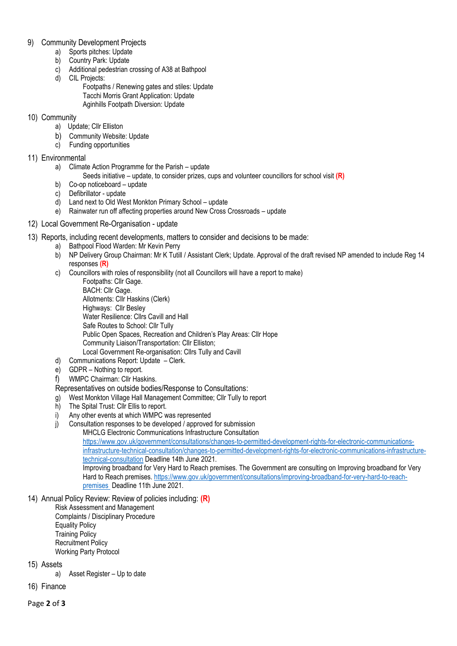- 9) Community Development Projects
	- a) Sports pitches: Update
	- b) Country Park: Update
	- c) Additional pedestrian crossing of A38 at Bathpool
	- d) CIL Projects:
		- Footpaths / Renewing gates and stiles: Update Tacchi Morris Grant Application: Update Aginhills Footpath Diversion: Update
- 10) Community
	- a) Update; Cllr Elliston
	- b) Community Website: Update
	- c) Funding opportunities
- 11) Environmental
	- a) Climate Action Programme for the Parish update
		- Seeds initiative update, to consider prizes, cups and volunteer councillors for school visit **(R)**
	- b) Co-op noticeboard update
	- c) Defibrillator update
	- d) Land next to Old West Monkton Primary School update
	- e) Rainwater run off affecting properties around New Cross Crossroads update
- 12) Local Government Re-Organisation update
- 13) Reports, including recent developments, matters to consider and decisions to be made:
	- a) Bathpool Flood Warden: Mr Kevin Perry
	- b) NP Delivery Group Chairman: Mr K Tutill / Assistant Clerk; Update. Approval of the draft revised NP amended to include Reg 14 responses **(R)**
	- c) Councillors with roles of responsibility (not all Councillors will have a report to make)
		- Footpaths: Cllr Gage. BACH: Cllr Gage. Allotments: Cllr Haskins (Clerk) Highways: Cllr Besley Water Resilience: Cllrs Cavill and Hall Safe Routes to School: Cllr Tully Public Open Spaces, Recreation and Children's Play Areas: Cllr Hope Community Liaison/Transportation: Cllr Elliston; Local Government Re-organisation: Cllrs Tully and Cavill
	- d) Communications Report: Update Clerk.
	- e) GDPR Nothing to report.
	- f) WMPC Chairman: Cllr Haskins.
	- Representatives on outside bodies/Response to Consultations:
	- g) West Monkton Village Hall Management Committee; Cllr Tully to report
	- h) The Spital Trust: Cllr Ellis to report.
	- i) Any other events at which WMPC was represented
	- j) Consultation responses to be developed / approved for submission MHCLG Electronic Communications Infrastructure Consultation [https://www.gov.uk/government/consultations/changes-to-permitted-development-rights-for-electronic-communications](https://www.gov.uk/government/consultations/changes-to-permitted-development-rights-for-electronic-communications-infrastructure-technical-consultation/changes-to-permitted-development-rights-for-electronic-communications-infrastructure-technical-consultation)[infrastructure-technical-consultation/changes-to-permitted-development-rights-for-electronic-communications-infrastructure](https://www.gov.uk/government/consultations/changes-to-permitted-development-rights-for-electronic-communications-infrastructure-technical-consultation/changes-to-permitted-development-rights-for-electronic-communications-infrastructure-technical-consultation)[technical-consultation](https://www.gov.uk/government/consultations/changes-to-permitted-development-rights-for-electronic-communications-infrastructure-technical-consultation/changes-to-permitted-development-rights-for-electronic-communications-infrastructure-technical-consultation) Deadline 14th June 2021. Improving broadband for Very Hard to Reach premises. The Government are consulting on Improving broadband for Very Hard to Reach premises. [https://www.gov.uk/government/consultations/improving-broadband-for-very-hard-to-reach](https://www.gov.uk/government/consultations/improving-broadband-for-very-hard-to-reach-premises)[premises D](https://www.gov.uk/government/consultations/improving-broadband-for-very-hard-to-reach-premises)eadline 11th June 2021.
- 14) Annual Policy Review: Review of policies including: **(R)**
	- Risk Assessment and Management Complaints / Disciplinary Procedure Equality Policy Training Policy Recruitment Policy Working Party Protocol
- 15) Assets

a) Asset Register – Up to date

16) Finance